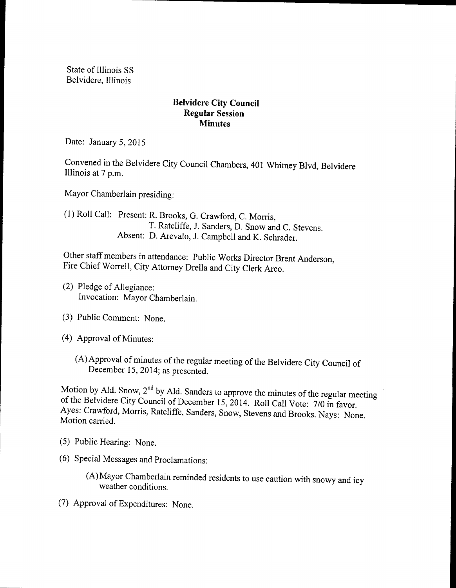State of Illinois SS Belvidere, Illinois

## Belvidere City Council Regular Session **Minutes**

Date: January 5, 2015

Convened in the Belvidere City Council Chambers, 401 Whitney Blvd, Belvidere Illinois at 7 p.m.

Mayor Chamberlain presiding:

1) Roll Call: Present: R. Brooks, G. Crawford, C. Morris, T. Ratcliffe, J. Sanders, D. Snow and C. Stevens. Absent: D. Arevalo, J. Campbell and K. Schrader.

Other staff members in attendance: Public Works Director Brent Anderson, Fire Chief Worrell, City Attorney Drella and City Clerk Arco.

- 2) Pledge of Allegiance: Invocation: Mayor Chamberlain.
- 3) Public Comment: None.
- 4) Approval of Minutes:
	- (A) Approval of minutes of the regular meeting of the Belvidere City Council of December 15, 2014; as presented.

Motion by Ald. Snow,  $2^{nd}$  by Ald. Sanders to approve the minutes of the regular meeting of the Belvidere City Council of December 15, 2014. Roll Call Vote: 7/0 in favor. Ayes: Crawford, Morris, Ratcliffe, Sanders, Snow, Stevens and Brooks. Nays: None. Motion carried.

- 5) Public Hearing: None.
- 6) Special Messages and Proclamations:
	- A) Mayor Chamberlain reminded residents to use caution with snowy and icy weather conditions.
- 7) Approval ofExpenditures: None.